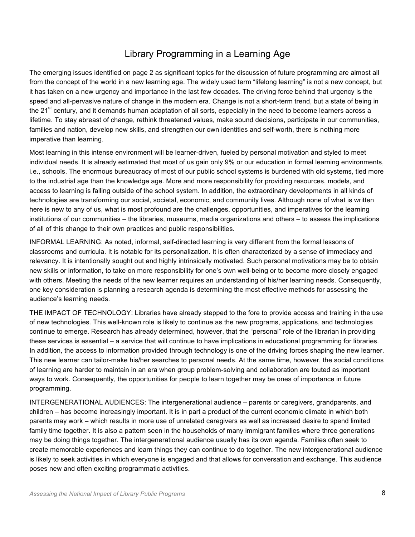## Library Programming in a Learning Age

The emerging issues identified on page 2 as significant topics for the discussion of future programming are almost all from the concept of the world in a new learning age. The widely used term "lifelong learning" is not a new concept, but it has taken on a new urgency and importance in the last few decades. The driving force behind that urgency is the speed and all-pervasive nature of change in the modern era. Change is not a short-term trend, but a state of being in the 21<sup>st</sup> century, and it demands human adaptation of all sorts, especially in the need to become learners across a lifetime. To stay abreast of change, rethink threatened values, make sound decisions, participate in our communities, families and nation, develop new skills, and strengthen our own identities and self-worth, there is nothing more imperative than learning.

Most learning in this intense environment will be learner-driven, fueled by personal motivation and styled to meet individual needs. It is already estimated that most of us gain only 9% or our education in formal learning environments, i.e., schools. The enormous bureaucracy of most of our public school systems is burdened with old systems, tied more to the industrial age than the knowledge age. More and more responsibility for providing resources, models, and access to learning is falling outside of the school system. In addition, the extraordinary developments in all kinds of technologies are transforming our social, societal, economic, and community lives. Although none of what is written here is new to any of us, what is most profound are the challenges, opportunities, and imperatives for the learning institutions of our communities – the libraries, museums, media organizations and others – to assess the implications of all of this change to their own practices and public responsibilities.

INFORMAL LEARNING: As noted, informal, self-directed learning is very different from the formal lessons of classrooms and curricula. It is notable for its personalization. It is often characterized by a sense of immediacy and relevancy. It is intentionally sought out and highly intrinsically motivated. Such personal motivations may be to obtain new skills or information, to take on more responsibility for one's own well-being or to become more closely engaged with others. Meeting the needs of the new learner requires an understanding of his/her learning needs. Consequently, one key consideration is planning a research agenda is determining the most effective methods for assessing the audience's learning needs.

THE IMPACT OF TECHNOLOGY: Libraries have already stepped to the fore to provide access and training in the use of new technologies. This well-known role is likely to continue as the new programs, applications, and technologies continue to emerge. Research has already determined, however, that the "personal" role of the librarian in providing these services is essential – a service that will continue to have implications in educational programming for libraries. In addition, the access to information provided through technology is one of the driving forces shaping the new learner. This new learner can tailor-make his/her searches to personal needs. At the same time, however, the social conditions of learning are harder to maintain in an era when group problem-solving and collaboration are touted as important ways to work. Consequently, the opportunities for people to learn together may be ones of importance in future programming.

INTERGENERATIONAL AUDIENCES: The intergenerational audience – parents or caregivers, grandparents, and children – has become increasingly important. It is in part a product of the current economic climate in which both parents may work – which results in more use of unrelated caregivers as well as increased desire to spend limited family time together. It is also a pattern seen in the households of many immigrant families where three generations may be doing things together. The intergenerational audience usually has its own agenda. Families often seek to create memorable experiences and learn things they can continue to do together. The new intergenerational audience is likely to seek activities in which everyone is engaged and that allows for conversation and exchange. This audience poses new and often exciting programmatic activities.